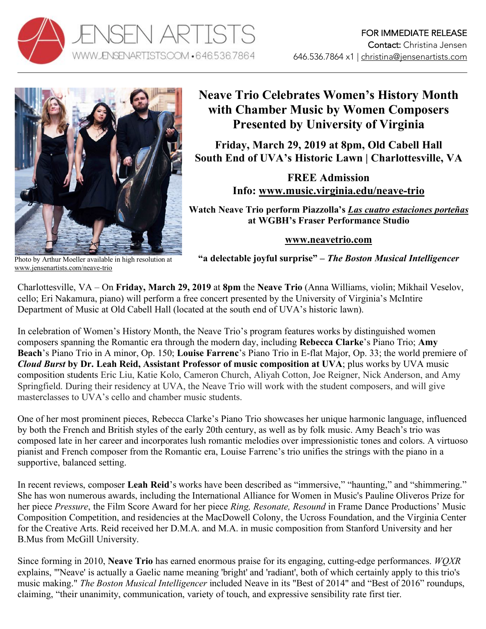



## **Neave Trio Celebrates Women's History Month with Chamber Music by Women Composers Presented by University of Virginia**

**Friday, March 29, 2019 at 8pm, Old Cabell Hall South End of UVA's Historic Lawn | Charlottesville, VA**

> **FREE Admission Info: www.music.virginia.edu/neave-trio**

**Watch Neave Trio perform Piazzolla's** *Las cuatro estaciones porteñas* **at WGBH's Fraser Performance Studio**

## **www.neavetrio.com**

Photo by Arthur Moeller available in high resolution at www.jensenartists.com/neave-trio

**"a delectable joyful surprise" –** *The Boston Musical Intelligencer*

Charlottesville, VA – On **Friday, March 29, 2019** at **8pm** the **Neave Trio** (Anna Williams, violin; Mikhail Veselov, cello; Eri Nakamura, piano) will perform a free concert presented by the University of Virginia's McIntire Department of Music at Old Cabell Hall (located at the south end of UVA's historic lawn).

In celebration of Women's History Month, the Neave Trio's program features works by distinguished women composers spanning the Romantic era through the modern day, including **Rebecca Clarke**'s Piano Trio; **Amy Beach**'s Piano Trio in A minor, Op. 150; **Louise Farrenc**'s Piano Trio in E-flat Major, Op. 33; the world premiere of *Cloud Burst* **by Dr. Leah Reid, Assistant Professor of music composition at UVA**; plus works by UVA music composition students Eric Liu, Katie Kolo, Cameron Church, Aliyah Cotton, Joe Reigner, Nick Anderson, and Amy Springfield. During their residency at UVA, the Neave Trio will work with the student composers, and will give masterclasses to UVA's cello and chamber music students.

One of her most prominent pieces, Rebecca Clarke's Piano Trio showcases her unique harmonic language, influenced by both the French and British styles of the early 20th century, as well as by folk music. Amy Beach's trio was composed late in her career and incorporates lush romantic melodies over impressionistic tones and colors. A virtuoso pianist and French composer from the Romantic era, Louise Farrenc's trio unifies the strings with the piano in a supportive, balanced setting.

In recent reviews, composer **Leah Reid**'s works have been described as "immersive," "haunting," and "shimmering." She has won numerous awards, including the International Alliance for Women in Music's Pauline Oliveros Prize for her piece *Pressure*, the Film Score Award for her piece *Ring, Resonate, Resound* in Frame Dance Productions' Music Composition Competition, and residencies at the MacDowell Colony, the Ucross Foundation, and the Virginia Center for the Creative Arts. Reid received her D.M.A. and M.A. in music composition from Stanford University and her B.Mus from McGill University.

Since forming in 2010, **Neave Trio** has earned enormous praise for its engaging, cutting-edge performances. *WQXR*  explains, "'Neave' is actually a Gaelic name meaning 'bright' and 'radiant', both of which certainly apply to this trio's music making." *The Boston Musical Intelligencer* included Neave in its "Best of 2014" and "Best of 2016" roundups, claiming, "their unanimity, communication, variety of touch, and expressive sensibility rate first tier.